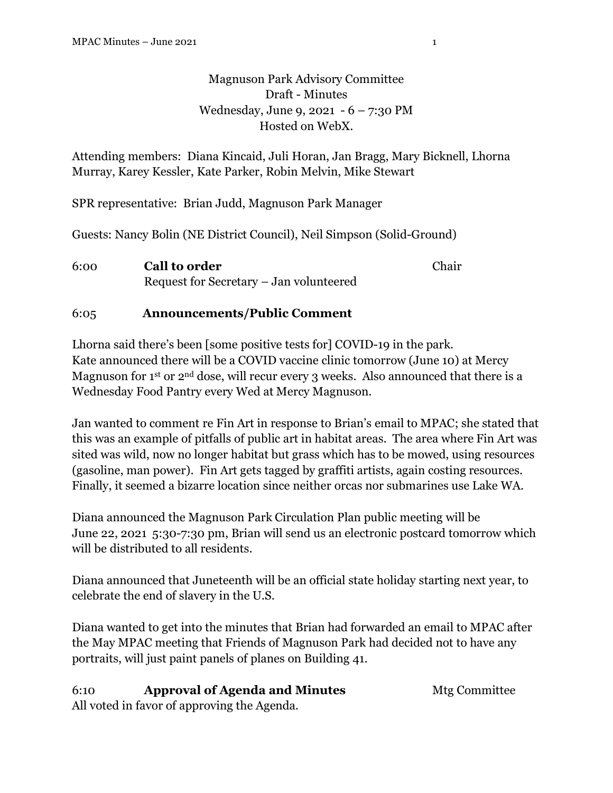### Magnuson Park Advisory Committee Draft - Minutes Wednesday, June 9, 2021 - 6 – 7:30 PM Hosted on WebX.

Attending members: Diana Kincaid, Juli Horan, Jan Bragg, Mary Bicknell, Lhorna Murray, Karey Kessler, Kate Parker, Robin Melvin, Mike Stewart

SPR representative: Brian Judd, Magnuson Park Manager

Guests: Nancy Bolin (NE District Council), Neil Simpson (Solid-Ground)

6:00 **Call to order** Chair Request for Secretary – Jan volunteered

### 6:05 **Announcements/Public Comment**

Lhorna said there's been [some positive tests for] COVID-19 in the park. Kate announced there will be a COVID vaccine clinic tomorrow (June 10) at Mercy Magnuson for 1<sup>st</sup> or 2<sup>nd</sup> dose, will recur every 3 weeks. Also announced that there is a Wednesday Food Pantry every Wed at Mercy Magnuson.

Jan wanted to comment re Fin Art in response to Brian's email to MPAC; she stated that this was an example of pitfalls of public art in habitat areas. The area where Fin Art was sited was wild, now no longer habitat but grass which has to be mowed, using resources (gasoline, man power). Fin Art gets tagged by graffiti artists, again costing resources. Finally, it seemed a bizarre location since neither orcas nor submarines use Lake WA.

Diana announced the Magnuson Park Circulation Plan public meeting will be June 22, 2021 5:30-7:30 pm, Brian will send us an electronic postcard tomorrow which will be distributed to all residents.

Diana announced that Juneteenth will be an official state holiday starting next year, to celebrate the end of slavery in the U.S.

Diana wanted to get into the minutes that Brian had forwarded an email to MPAC after the May MPAC meeting that Friends of Magnuson Park had decided not to have any portraits, will just paint panels of planes on Building 41.

# 6:10 **Approval of Agenda and Minutes** Mtg Committee

All voted in favor of approving the Agenda.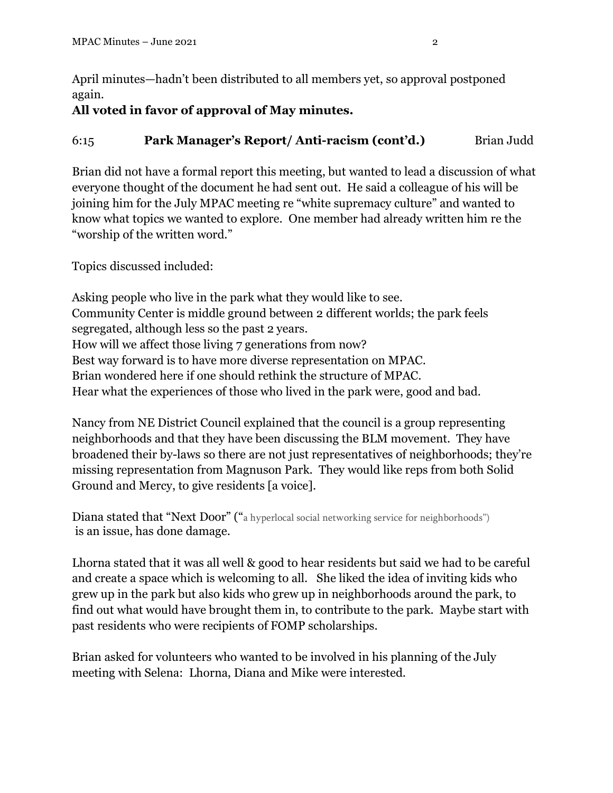April minutes—hadn't been distributed to all members yet, so approval postponed again.

### **All voted in favor of approval of May minutes.**

### 6:15 **Park Manager's Report/ Anti-racism (cont'd.)** Brian Judd

Brian did not have a formal report this meeting, but wanted to lead a discussion of what everyone thought of the document he had sent out. He said a colleague of his will be joining him for the July MPAC meeting re "white supremacy culture" and wanted to know what topics we wanted to explore. One member had already written him re the "worship of the written word."

Topics discussed included:

Asking people who live in the park what they would like to see. Community Center is middle ground between 2 different worlds; the park feels segregated, although less so the past 2 years. How will we affect those living 7 generations from now? Best way forward is to have more diverse representation on MPAC. Brian wondered here if one should rethink the structure of MPAC. Hear what the experiences of those who lived in the park were, good and bad.

Nancy from NE District Council explained that the council is a group representing neighborhoods and that they have been discussing the BLM movement. They have broadened their by-laws so there are not just representatives of neighborhoods; they're missing representation from Magnuson Park. They would like reps from both Solid Ground and Mercy, to give residents [a voice].

Diana stated that "Next Door" ("a hyperlocal social networking service for neighborhoods") is an issue, has done damage.

Lhorna stated that it was all well & good to hear residents but said we had to be careful and create a space which is welcoming to all. She liked the idea of inviting kids who grew up in the park but also kids who grew up in neighborhoods around the park, to find out what would have brought them in, to contribute to the park. Maybe start with past residents who were recipients of FOMP scholarships.

Brian asked for volunteers who wanted to be involved in his planning of the July meeting with Selena: Lhorna, Diana and Mike were interested.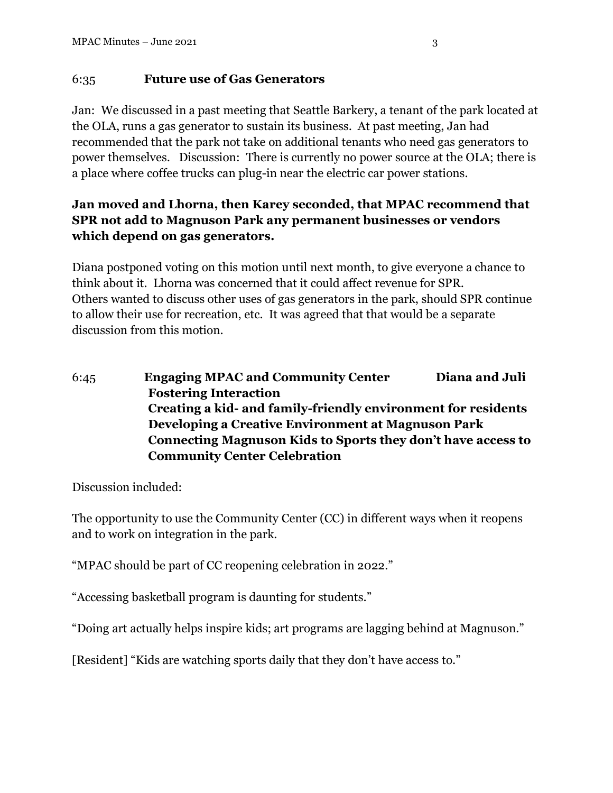#### 6:35 **Future use of Gas Generators**

Jan: We discussed in a past meeting that Seattle Barkery, a tenant of the park located at the OLA, runs a gas generator to sustain its business. At past meeting, Jan had recommended that the park not take on additional tenants who need gas generators to power themselves. Discussion: There is currently no power source at the OLA; there is a place where coffee trucks can plug-in near the electric car power stations.

### **Jan moved and Lhorna, then Karey seconded, that MPAC recommend that SPR not add to Magnuson Park any permanent businesses or vendors which depend on gas generators.**

Diana postponed voting on this motion until next month, to give everyone a chance to think about it. Lhorna was concerned that it could affect revenue for SPR. Others wanted to discuss other uses of gas generators in the park, should SPR continue to allow their use for recreation, etc. It was agreed that that would be a separate discussion from this motion.

6:45 **Engaging MPAC and Community Center Diana and Juli Fostering Interaction Creating a kid- and family-friendly environment for residents Developing a Creative Environment at Magnuson Park Connecting Magnuson Kids to Sports they don't have access to Community Center Celebration**

Discussion included:

The opportunity to use the Community Center (CC) in different ways when it reopens and to work on integration in the park.

"MPAC should be part of CC reopening celebration in 2022."

"Accessing basketball program is daunting for students."

"Doing art actually helps inspire kids; art programs are lagging behind at Magnuson."

[Resident] "Kids are watching sports daily that they don't have access to."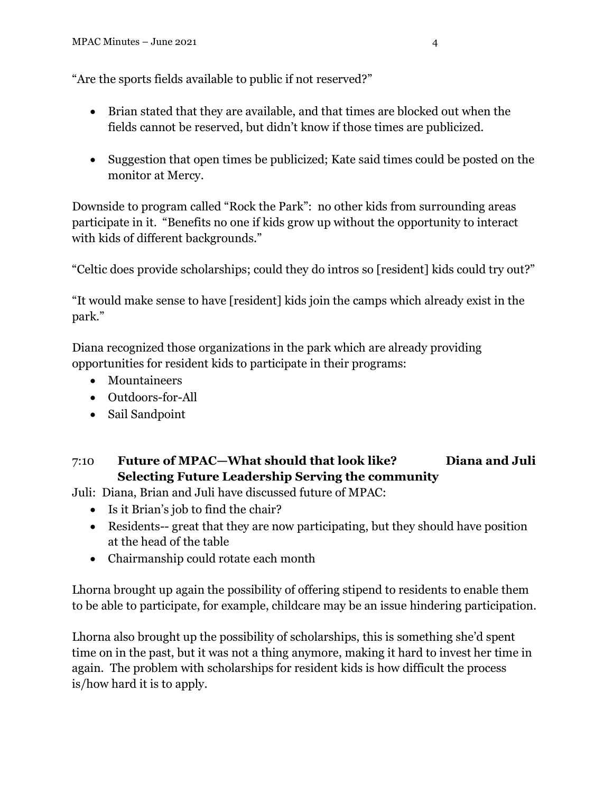"Are the sports fields available to public if not reserved?"

- Brian stated that they are available, and that times are blocked out when the fields cannot be reserved, but didn't know if those times are publicized.
- Suggestion that open times be publicized; Kate said times could be posted on the monitor at Mercy.

Downside to program called "Rock the Park": no other kids from surrounding areas participate in it. "Benefits no one if kids grow up without the opportunity to interact with kids of different backgrounds."

"Celtic does provide scholarships; could they do intros so [resident] kids could try out?"

"It would make sense to have [resident] kids join the camps which already exist in the park."

Diana recognized those organizations in the park which are already providing opportunities for resident kids to participate in their programs:

- Mountaineers
- Outdoors-for-All
- Sail Sandpoint

## 7:10 **Future of MPAC—What should that look like? Diana and Juli Selecting Future Leadership Serving the community**

Juli: Diana, Brian and Juli have discussed future of MPAC:

- Is it Brian's job to find the chair?
- Residents-- great that they are now participating, but they should have position at the head of the table
- Chairmanship could rotate each month

Lhorna brought up again the possibility of offering stipend to residents to enable them to be able to participate, for example, childcare may be an issue hindering participation.

Lhorna also brought up the possibility of scholarships, this is something she'd spent time on in the past, but it was not a thing anymore, making it hard to invest her time in again. The problem with scholarships for resident kids is how difficult the process is/how hard it is to apply.